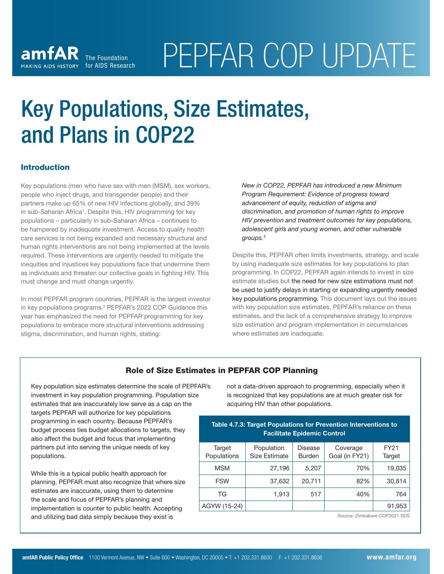# Key Populations, Size Estimates, and Plans in COP22

# **Introduction**

Key populations (men who have sex with men (MSM), sex workers, people who inject drugs, and transgender people) and their partners make up 65% of new HIV infections globally, and 39% in sub-Saharan Africa<sup>1</sup>. Despite this, HIV programming for key populations – particularly in sub-Saharan Africa – continues to be hampered by inadequate investment. Access to quality health care services is not being expanded and necessary structural and human rights interventions are not being implemented at the levels required. These interventions are urgently needed to mitigate the inequities and injustices key populations face that undermine them as individuals and threaten our collective goals in fighting HIV. This must change and must change urgently.

In most PEPFAR program countries, PEPFAR is the largest investor in key populations programs.<sup>2</sup> PEPFAR's 2022 COP Guidance this year has emphasized the need for PEPFAR programming for key populations to embrace more structural interventions addressing stigma, discrimination, and human rights, stating:

*New in COP22, PEPFAR has introduced a new Minimum Program Requirement: Evidence of progress toward advancement of equity, reduction of stigma and discrimination, and promotion of human rights to improve HIV prevention and treatment outcomes for key populations, adolescent girls and young women, and other vulnerable groups.*<sup>3</sup>

Despite this, PEPFAR often limits investments, strategy, and scale by using inadequate size estimates for key populations to plan programming. In COP22, PEPFAR again intends to invest in size estimate studies but the need for new size estimations must not be used to justify delays in starting or expanding urgently needed key populations programming. This document lays out the issues with key population size estimates, PEPFAR's reliance on these estimates, and the lack of a comprehensive strategy to improve size estimation and program implementation in circumstances where estimates are inadequate.

# Role of Size Estimates in PEPFAR COP Planning

Key population size estimates determine the scale of PEPFAR's investment in key population programming. Population size estimates that are inaccurately low serve as a cap on the targets PEPFAR will authorize for key populations programming in each country. Because PEPFAR's budget process ties budget allocations to targets, they also affect the budget and focus that implementing partners put into serving the unique needs of key populations.

While this is a typical public health approach for planning, PEPFAR must also recognize that where size estimates are inaccurate, using them to determine the scale and focus of PEPFAR's planning and implementation is counter to public health. Accepting and utilizing bad data simply because they exist is

not a data-driven approach to programming, especially when it is recognized that key populations are at much greater risk for acquiring HIV than other populations.

# Table 4.7.3: Target Populations for Prevention Interventions to Facilitate Epidemic Control

| Target<br>Populations | Population<br><b>Size Estimate</b> | Disease<br><b>Burden</b> | Coverage<br>Goal (in FY21) | FY21<br>Target |
|-----------------------|------------------------------------|--------------------------|----------------------------|----------------|
| <b>MSM</b>            | 27,196                             | 5,207                    | 70%                        | 19,035         |
| <b>FSW</b>            | 37,632                             | 20,711                   | 82%                        | 30,814         |
| ТG                    | 1,913                              | 517                      | 40%                        | 764            |
| AGYW (15-24)          |                                    |                          |                            | 91,953         |

Source: Zimbabwe COP2021 SDS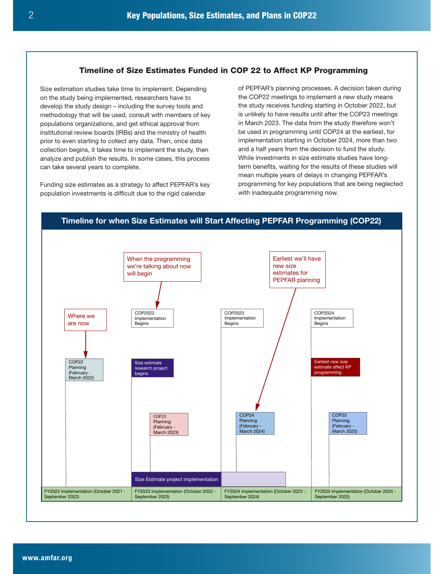# Timeline of Size Estimates Funded in COP 22 to Affect KP Programming

Size estimation studies take time to implement. Depending on the study being implemented, researchers have to develop the study design – including the survey tools and methodology that will be used, consult with members of key populations organizations, and get ethical approval from institutional review boards (IRBs) and the ministry of health prior to even starting to collect any data. Then, once data collection begins, it takes time to implement the study, then analyze and publish the results. In some cases, this process can take several years to complete.

Funding size estimates as a strategy to affect PEPFAR's key population investments is difficult due to the rigid calendar

of PEPFAR's planning processes. A decision taken during the COP22 meetings to implement a new study means the study receives funding starting in October 2022, but is unlikely to have results until after the COP23 meetings in March 2023. The data from the study therefore won't be used in programming until COP24 at the earliest, for implementation starting in October 2024, more than two and a half years from the decision to fund the study. While investments in size estimate studies have longterm benefits, waiting for the results of these studies will mean multiple years of delays in changing PEPFAR's programming for key populations that are being neglected with inadequate programming now.

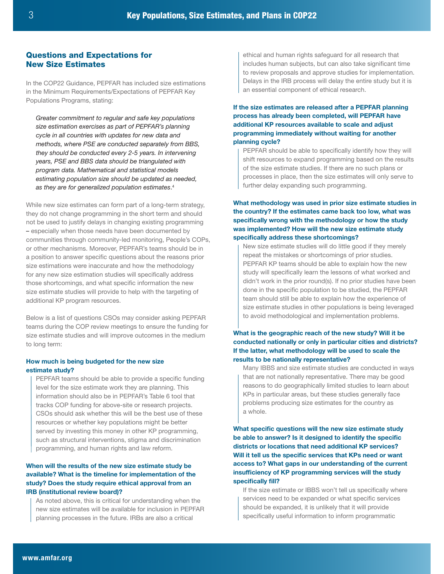# Questions and Expectations for New Size Estimates

In the COP22 Guidance, PEPFAR has included size estimations in the Minimum Requirements/Expectations of PEPFAR Key Populations Programs, stating:

*Greater commitment to regular and safe key populations size estimation exercises as part of PEPFAR's planning cycle in all countries with updates for new data and methods, where PSE are conducted separately from BBS, they should be conducted every 2-5 years. In intervening years, PSE and BBS data should be triangulated with program data. Mathematical and statistical models estimating population size should be updated as needed, as they are for generalized population estimates*. 4

While new size estimates can form part of a long-term strategy. they do not change programming in the short term and should not be used to justify delays in changing existing programming – especially when those needs have been documented by communities through community-led monitoring, People's COPs, or other mechanisms. Moreover, PEPFAR's teams should be in a position to answer specific questions about the reasons prior size estimations were inaccurate and how the methodology for any new size estimation studies will specifically address those shortcomings, and what specific information the new size estimate studies will provide to help with the targeting of additional KP program resources.

Below is a list of questions CSOs may consider asking PEPFAR teams during the COP review meetings to ensure the funding for size estimate studies and will improve outcomes in the medium to long term:

#### How much is being budgeted for the new size estimate study?

PEPFAR teams should be able to provide a specific funding level for the size estimate work they are planning. This information should also be in PEPFAR's Table 6 tool that tracks COP funding for above-site or research projects. CSOs should ask whether this will be the best use of these resources or whether key populations might be better served by investing this money in other KP programming, such as structural interventions, stigma and discrimination programming, and human rights and law reform.

#### When will the results of the new size estimate study be available? What is the timeline for implementation of the study? Does the study require ethical approval from an IRB (institutional review board)?

As noted above, this is critical for understanding when the new size estimates will be available for inclusion in PEPFAR planning processes in the future. IRBs are also a critical

ethical and human rights safeguard for all research that includes human subjects, but can also take significant time to review proposals and approve studies for implementation. Delays in the IRB process will delay the entire study but it is an essential component of ethical research.

### If the size estimates are released after a PEPFAR planning process has already been completed, will PEPFAR have additional KP resources available to scale and adjust programming immediately without waiting for another planning cycle?

PEPFAR should be able to specifically identify how they will shift resources to expand programming based on the results of the size estimate studies. If there are no such plans or processes in place, then the size estimates will only serve to further delay expanding such programming.

# What methodology was used in prior size estimate studies in the country? If the estimates came back too low, what was specifically wrong with the methodology or how the study was implemented? How will the new size estimate study specifically address these shortcomings?

New size estimate studies will do little good if they merely repeat the mistakes or shortcomings of prior studies. PEPFAR KP teams should be able to explain how the new study will specifically learn the lessons of what worked and didn't work in the prior round(s). If no prior studies have been done in the specific population to be studied, the PEPFAR team should still be able to explain how the experience of size estimate studies in other populations is being leveraged to avoid methodological and implementation problems.

# What is the geographic reach of the new study? Will it be conducted nationally or only in particular cities and districts? If the latter, what methodology will be used to scale the results to be nationally representative?

Many IBBS and size estimate studies are conducted in ways that are not nationally representative. There may be good reasons to do geographically limited studies to learn about KPs in particular areas, but these studies generally face problems producing size estimates for the country as a whole.

What specific questions will the new size estimate study be able to answer? Is it designed to identify the specific districts or locations that need additional KP services? Will it tell us the specific services that KPs need or want access to? What gaps in our understanding of the current insufficiency of KP programming services will the study specifically fill?

If the size estimate or IBBS won't tell us specifically where services need to be expanded or what specific services should be expanded, it is unlikely that it will provide specifically useful information to inform programmatic